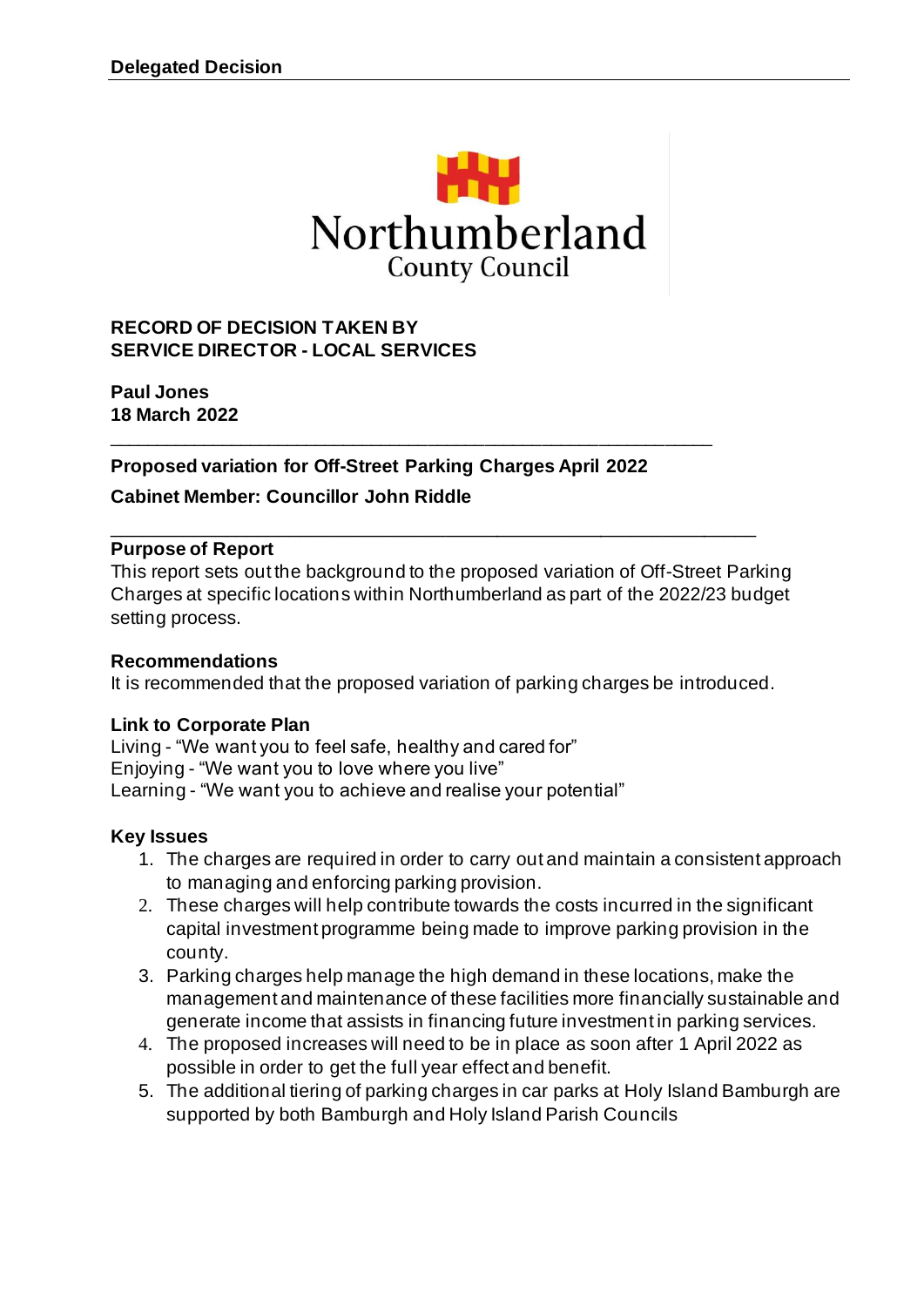

### **RECORD OF DECISION TAKEN BY SERVICE DIRECTOR - LOCAL SERVICES**

**Paul Jones 18 March 2022**

**Proposed variation for Off-Street Parking Charges April 2022 Cabinet Member: Councillor John Riddle**

\_\_\_\_\_\_\_\_\_\_\_\_\_\_\_\_\_\_\_\_\_\_\_\_\_\_\_\_\_\_\_\_\_\_\_\_\_\_\_\_\_\_\_\_\_\_\_\_\_\_\_\_\_\_\_\_\_\_\_\_\_\_\_\_

#### **Purpose of Report**

This report sets out the background to the proposed variation of Off-Street Parking Charges at specific locations within Northumberland as part of the 2022/23 budget setting process.

\_\_\_\_\_\_\_\_\_\_\_\_\_\_\_\_\_\_\_\_\_\_\_\_\_\_\_\_\_\_\_\_\_\_\_\_\_\_\_\_\_\_\_\_\_\_\_\_\_\_\_\_\_\_\_\_\_\_\_\_\_\_

### **Recommendations**

It is recommended that the proposed variation of parking charges be introduced.

### **Link to Corporate Plan**

Living - "We want you to feel safe, healthy and cared for" Enjoying - "We want you to love where you live" Learning - "We want you to achieve and realise your potential"

### **Key Issues**

- 1. The charges are required in order to carry out and maintain a consistent approach to managing and enforcing parking provision.
- 2. These charges will help contribute towards the costs incurred in the significant capital investment programme being made to improve parking provision in the county.
- 3. Parking charges help manage the high demand in these locations, make the management and maintenance of these facilities more financially sustainable and generate income that assists in financing future investment in parking services.
- 4. The proposed increases will need to be in place as soon after 1 April 2022 as possible in order to get the full year effect and benefit.
- 5. The additional tiering of parking charges in car parks at Holy Island Bamburgh are supported by both Bamburgh and Holy Island Parish Councils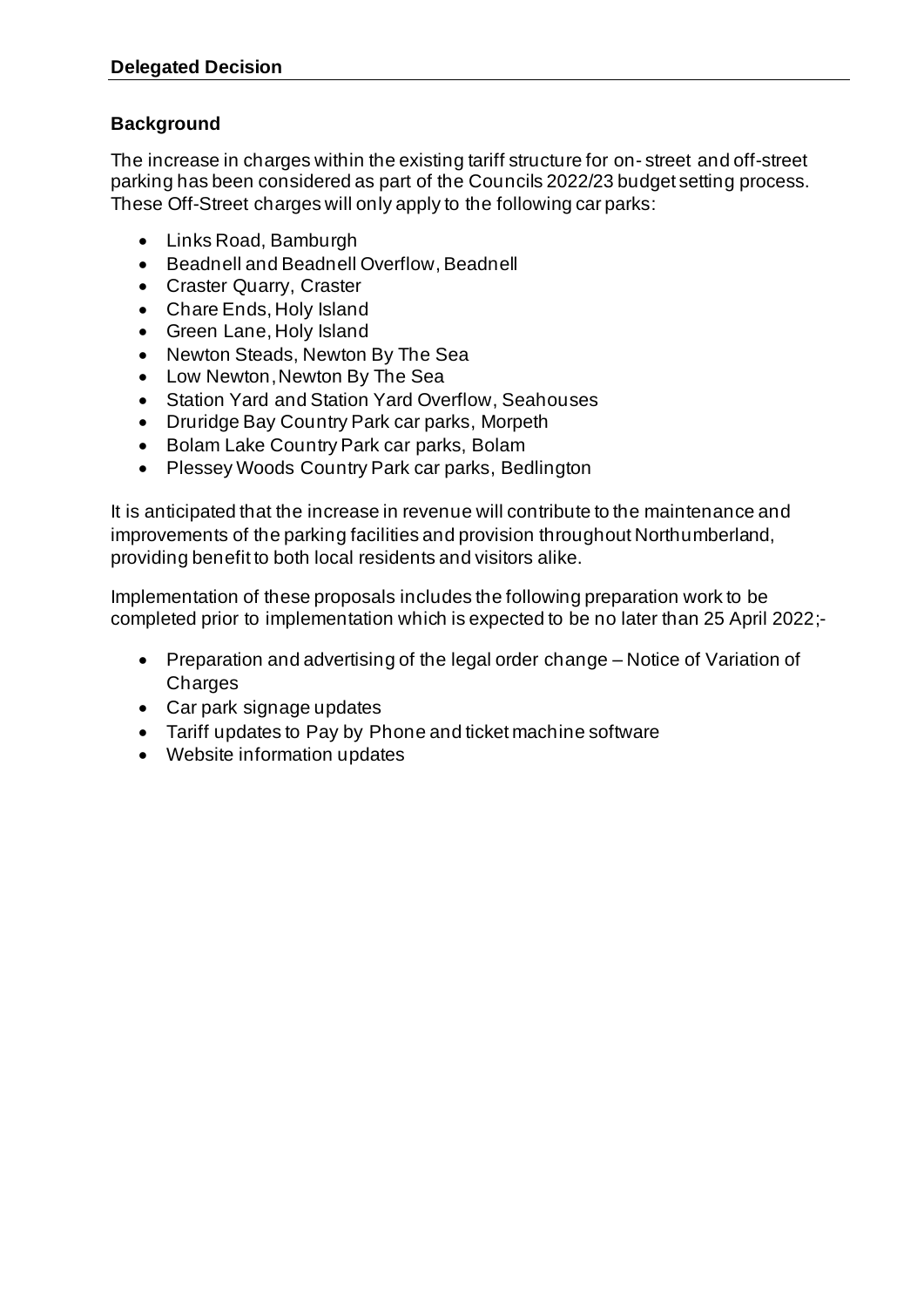### **Background**

The increase in charges within the existing tariff structure for on- street and off-street parking has been considered as part of the Councils 2022/23 budget setting process. These Off-Street charges will only apply to the following car parks:

- Links Road, Bamburgh
- Beadnell and Beadnell Overflow, Beadnell
- Craster Quarry, Craster
- Chare Ends, Holy Island
- Green Lane, Holy Island
- Newton Steads, Newton By The Sea
- Low Newton, Newton By The Sea
- Station Yard and Station Yard Overflow, Seahouses
- Druridge Bay Country Park car parks, Morpeth
- Bolam Lake Country Park car parks, Bolam
- Plessey Woods Country Park car parks, Bedlington

It is anticipated that the increase in revenue will contribute to the maintenance and improvements of the parking facilities and provision throughout Northumberland, providing benefit to both local residents and visitors alike.

Implementation of these proposals includes the following preparation work to be completed prior to implementation which is expected to be no later than 25 April 2022;-

- Preparation and advertising of the legal order change Notice of Variation of Charges
- Car park signage updates
- Tariff updates to Pay by Phone and ticket machine software
- Website information updates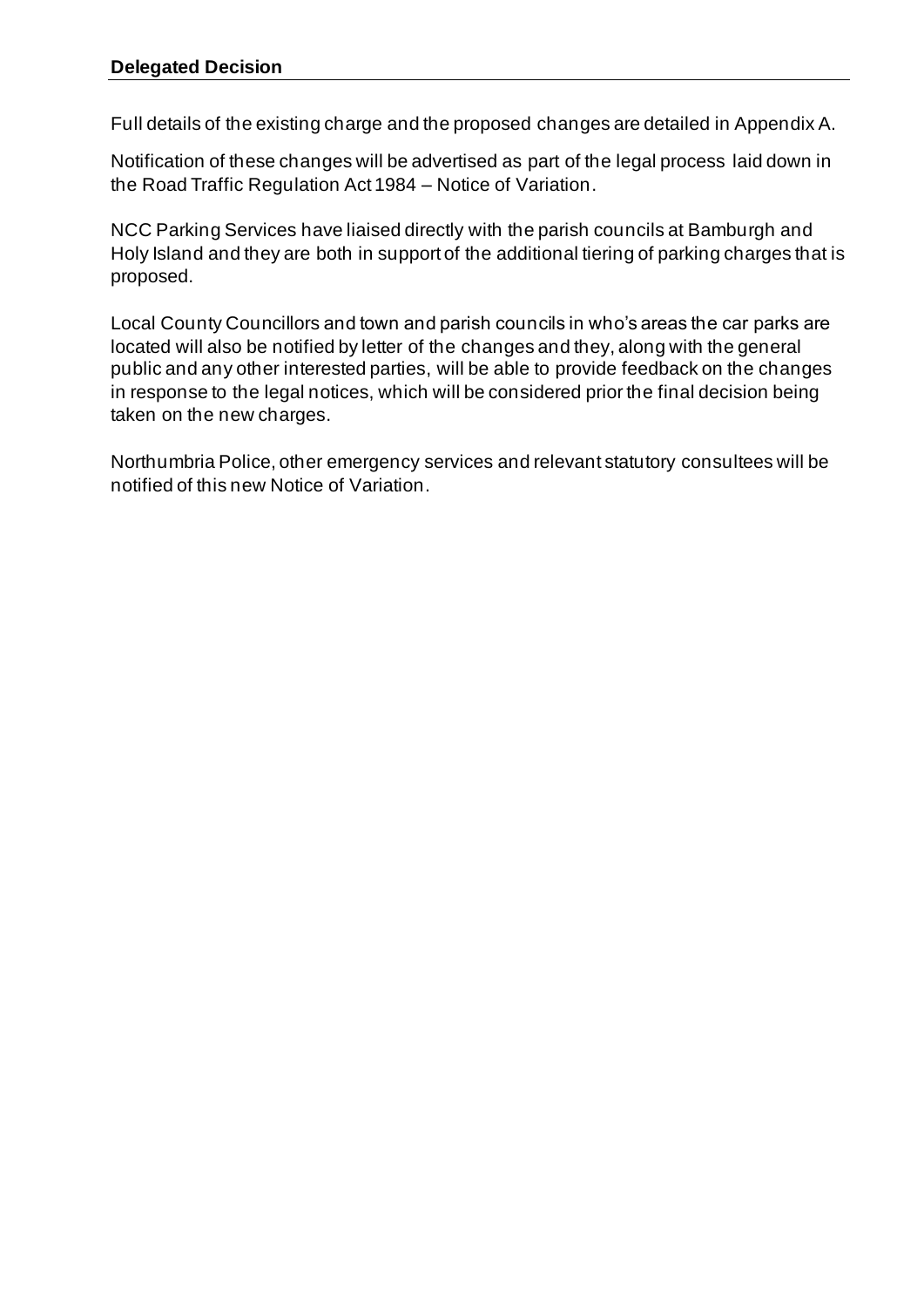Full details of the existing charge and the proposed changes are detailed in Appendix A.

Notification of these changes will be advertised as part of the legal process laid down in the Road Traffic Regulation Act 1984 – Notice of Variation.

NCC Parking Services have liaised directly with the parish councils at Bamburgh and Holy Island and they are both in support of the additional tiering of parking charges that is proposed.

Local County Councillors and town and parish councils in who's areas the car parks are located will also be notified by letter of the changes and they, along with the general public and any other interested parties, will be able to provide feedback on the changes in response to the legal notices, which will be considered prior the final decision being taken on the new charges.

Northumbria Police, other emergency services and relevant statutory consultees will be notified of this new Notice of Variation.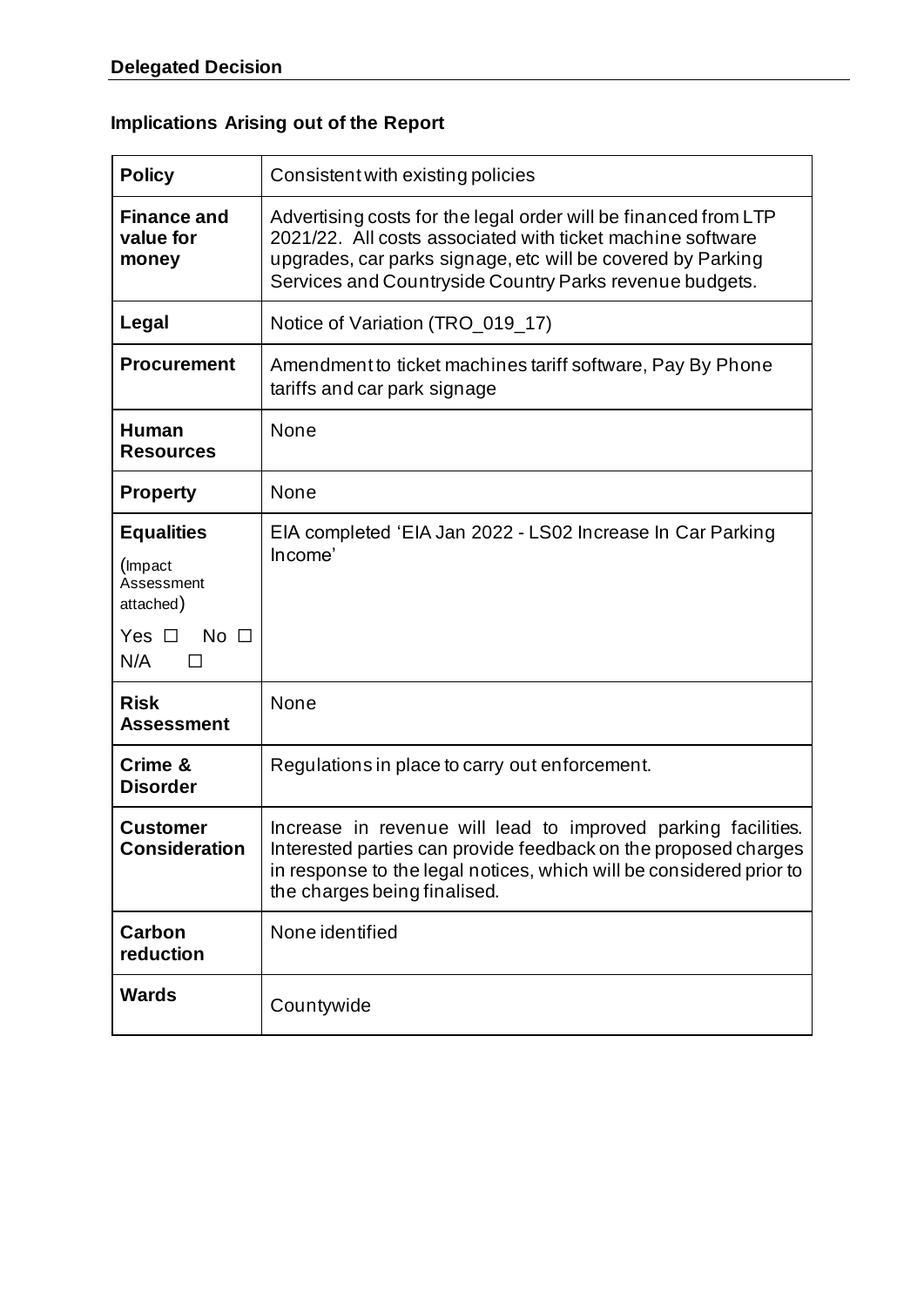# **Implications Arising out of the Report**

| <b>Policy</b>                                                                                        | Consistent with existing policies                                                                                                                                                                                                                       |  |  |
|------------------------------------------------------------------------------------------------------|---------------------------------------------------------------------------------------------------------------------------------------------------------------------------------------------------------------------------------------------------------|--|--|
| <b>Finance and</b><br>value for<br>money                                                             | Advertising costs for the legal order will be financed from LTP<br>2021/22. All costs associated with ticket machine software<br>upgrades, car parks signage, etc will be covered by Parking<br>Services and Countryside Country Parks revenue budgets. |  |  |
| Legal                                                                                                | Notice of Variation (TRO_019_17)                                                                                                                                                                                                                        |  |  |
| <b>Procurement</b>                                                                                   | Amendment to ticket machines tariff software, Pay By Phone<br>tariffs and car park signage                                                                                                                                                              |  |  |
| Human<br><b>Resources</b>                                                                            | None                                                                                                                                                                                                                                                    |  |  |
| <b>Property</b>                                                                                      | None                                                                                                                                                                                                                                                    |  |  |
| <b>Equalities</b><br>(Impact<br>Assessment<br>attached)<br>Yes $\Box$<br>No $\Box$<br>N/A<br>$\perp$ | EIA completed 'EIA Jan 2022 - LS02 Increase In Car Parking<br>Income'                                                                                                                                                                                   |  |  |
| <b>Risk</b><br><b>Assessment</b>                                                                     | None                                                                                                                                                                                                                                                    |  |  |
| Crime &<br><b>Disorder</b>                                                                           | Regulations in place to carry out enforcement.                                                                                                                                                                                                          |  |  |
| <b>Customer</b><br><b>Consideration</b>                                                              | Increase in revenue will lead to improved parking facilities.<br>Interested parties can provide feedback on the proposed charges<br>in response to the legal notices, which will be considered prior to<br>the charges being finalised.                 |  |  |
| <b>Carbon</b><br>reduction                                                                           | None identified                                                                                                                                                                                                                                         |  |  |
| <b>Wards</b>                                                                                         | Countywide                                                                                                                                                                                                                                              |  |  |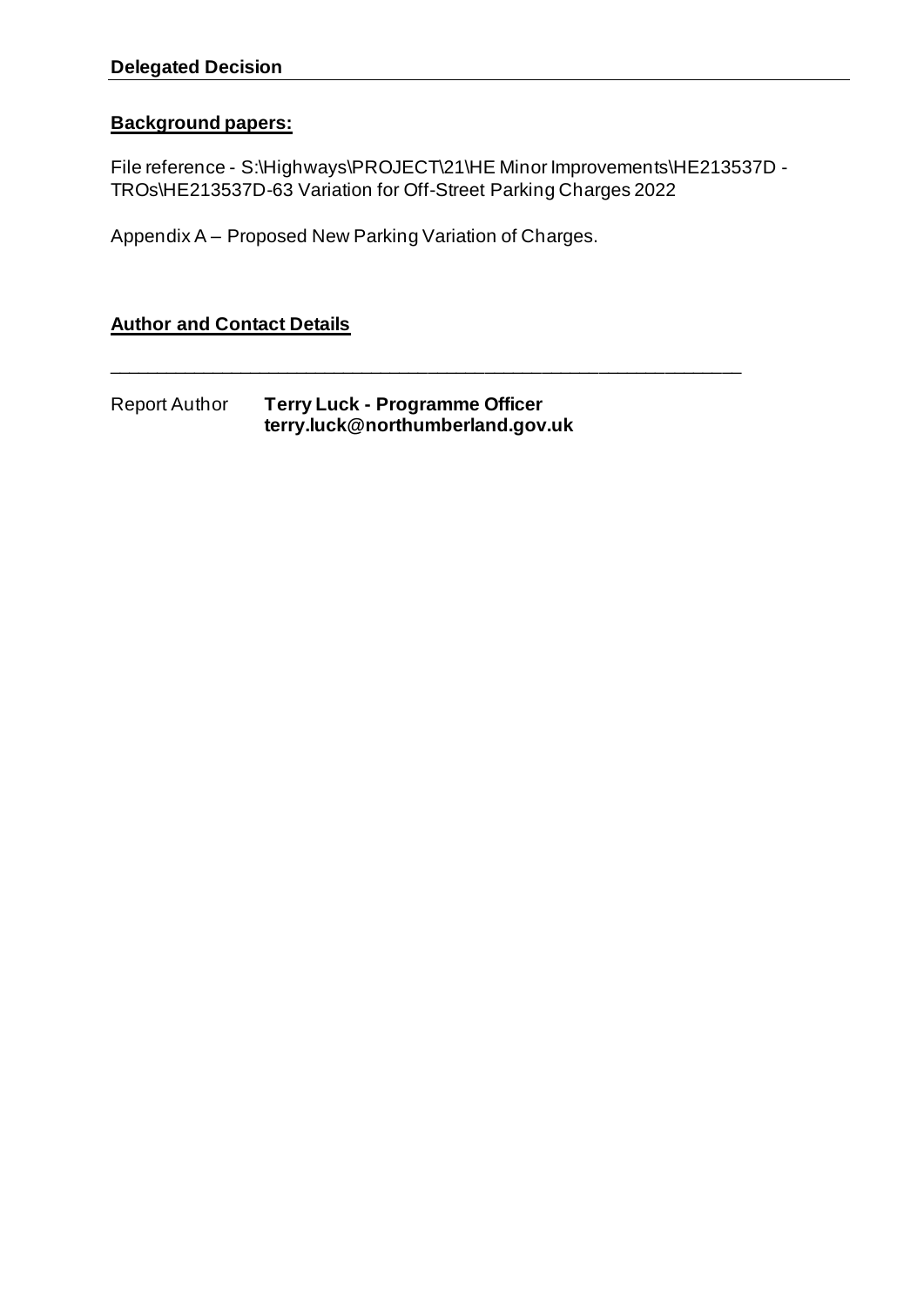### **Background papers:**

File reference - S:\Highways\PROJECT\21\HE Minor Improvements\HE213537D -TROs\HE213537D-63 Variation for Off-Street Parking Charges 2022

\_\_\_\_\_\_\_\_\_\_\_\_\_\_\_\_\_\_\_\_\_\_\_\_\_\_\_\_\_\_\_\_\_\_\_\_\_\_\_\_\_\_\_\_\_\_\_\_\_\_\_\_\_\_\_\_\_\_\_\_\_\_\_\_\_\_\_

Appendix A – Proposed New Parking Variation of Charges.

**Author and Contact Details**

Report Author **Terry Luck - Programme Officer terry.luck@northumberland.gov.uk**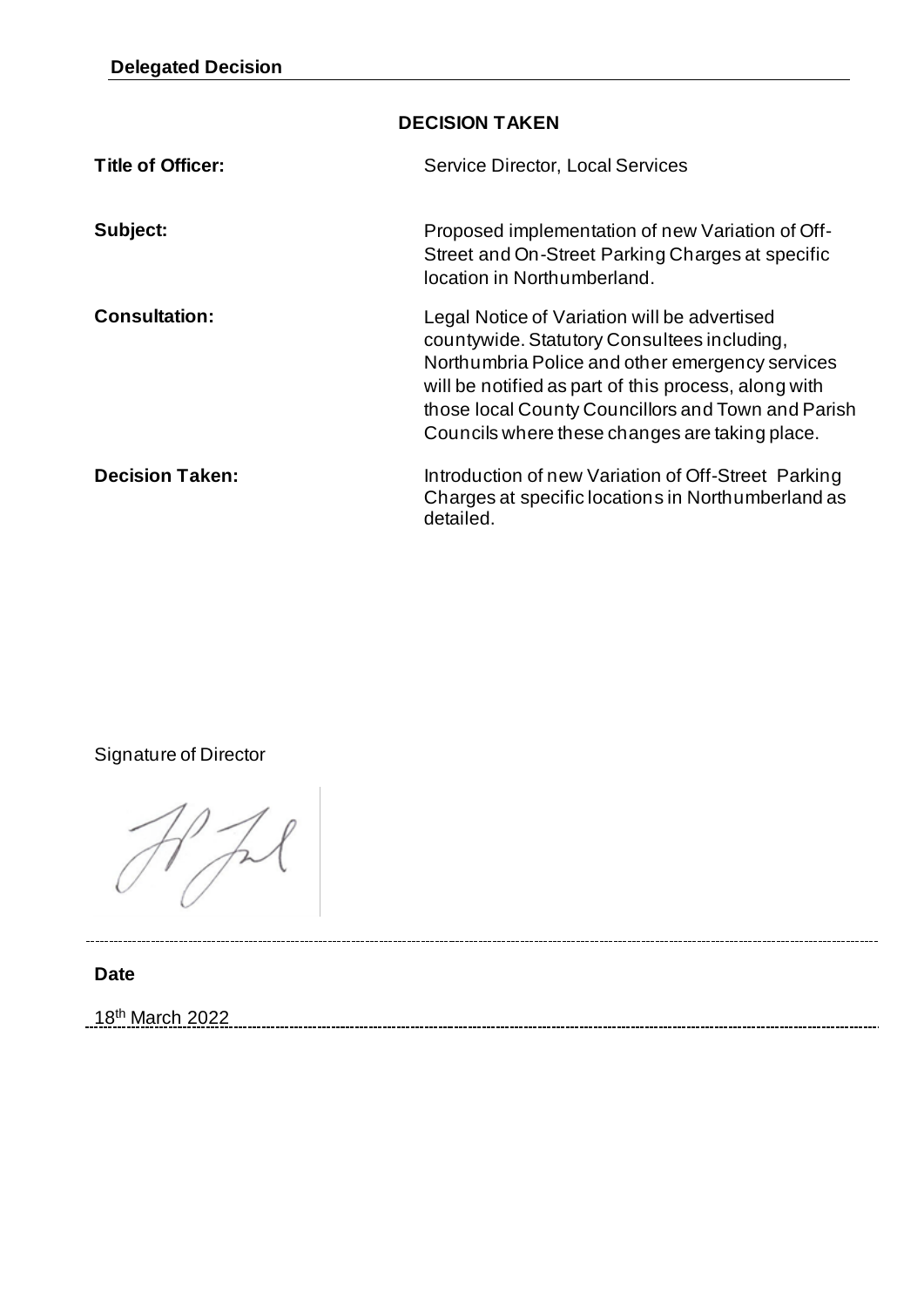| <b>DECISION TAKEN</b>  |                                                                                                                                                                                                                                                                                                                |  |
|------------------------|----------------------------------------------------------------------------------------------------------------------------------------------------------------------------------------------------------------------------------------------------------------------------------------------------------------|--|
| Title of Officer:      | <b>Service Director, Local Services</b>                                                                                                                                                                                                                                                                        |  |
| Subject:               | Proposed implementation of new Variation of Off-<br>Street and On-Street Parking Charges at specific<br>location in Northumberland.                                                                                                                                                                            |  |
| <b>Consultation:</b>   | Legal Notice of Variation will be advertised<br>countywide. Statutory Consultees including,<br>Northumbria Police and other emergency services<br>will be notified as part of this process, along with<br>those local County Councillors and Town and Parish<br>Councils where these changes are taking place. |  |
| <b>Decision Taken:</b> | Introduction of new Variation of Off-Street Parking<br>Charges at specific locations in Northumberland as<br>detailed.                                                                                                                                                                                         |  |

Signature of Director

**Date**

18th March 2022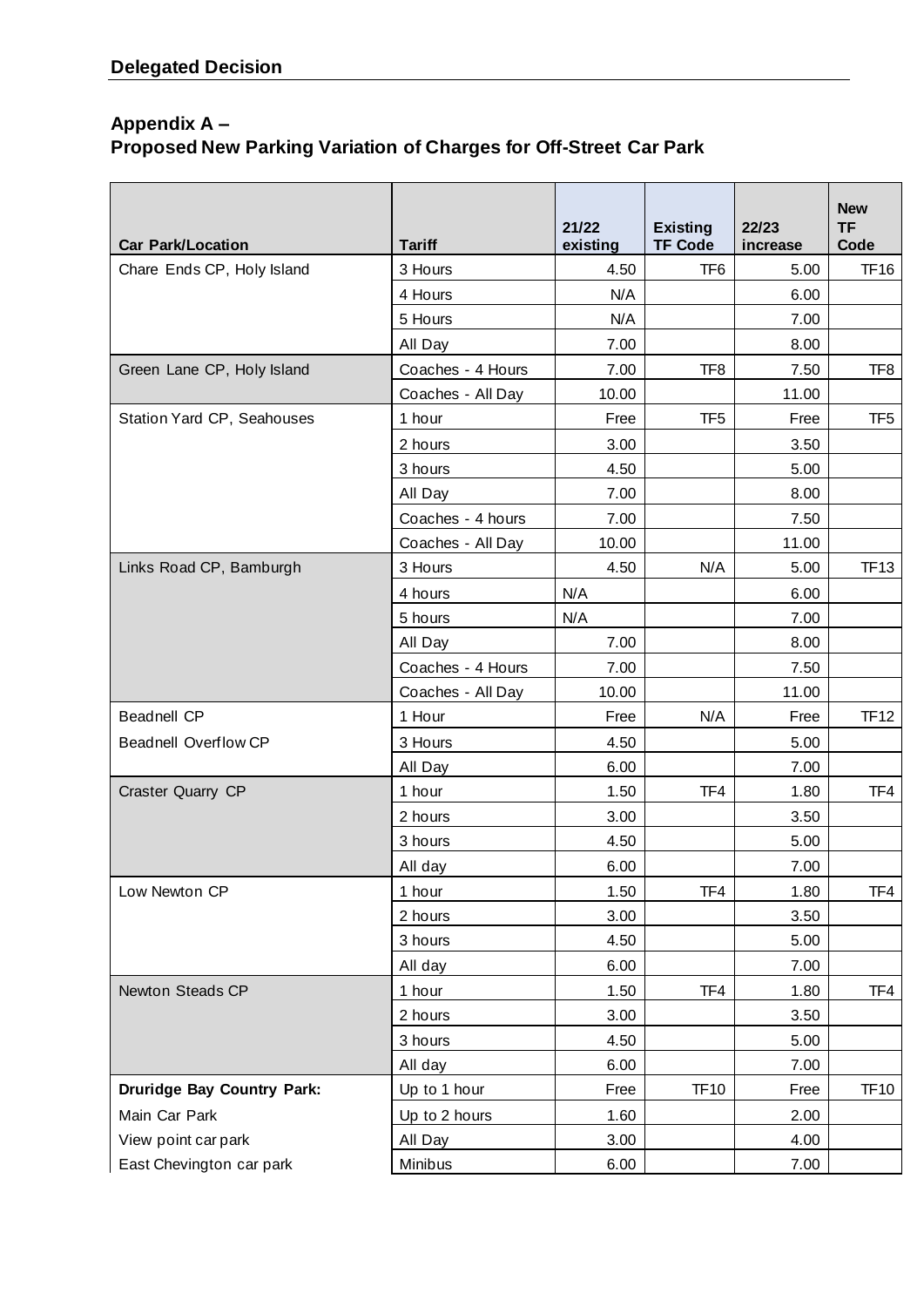# **Appendix A – Proposed New Parking Variation of Charges for Off-Street Car Park**

| <b>Car Park/Location</b>          | <b>Tariff</b>     | 21/22<br>existing | <b>Existing</b><br><b>TF Code</b> | 22/23<br>increase | <b>New</b><br><b>TF</b><br>Code |
|-----------------------------------|-------------------|-------------------|-----------------------------------|-------------------|---------------------------------|
| Chare Ends CP, Holy Island        | 3 Hours           | 4.50              | TF <sub>6</sub>                   | 5.00              | <b>TF16</b>                     |
|                                   | 4 Hours           | N/A               |                                   | 6.00              |                                 |
|                                   | 5 Hours           | N/A               |                                   | 7.00              |                                 |
|                                   | All Day           | 7.00              |                                   | 8.00              |                                 |
| Green Lane CP, Holy Island        | Coaches - 4 Hours | 7.00              | TF8                               | 7.50              | TF8                             |
|                                   | Coaches - All Day | 10.00             |                                   | 11.00             |                                 |
| Station Yard CP, Seahouses        | 1 hour            | Free              | TF5                               | Free              | TF <sub>5</sub>                 |
|                                   | 2 hours           | 3.00              |                                   | 3.50              |                                 |
|                                   | 3 hours           | 4.50              |                                   | 5.00              |                                 |
|                                   | All Day           | 7.00              |                                   | 8.00              |                                 |
|                                   | Coaches - 4 hours | 7.00              |                                   | 7.50              |                                 |
|                                   | Coaches - All Day | 10.00             |                                   | 11.00             |                                 |
| Links Road CP, Bamburgh           | 3 Hours           | 4.50              | N/A                               | 5.00              | <b>TF13</b>                     |
|                                   | 4 hours           | N/A               |                                   | 6.00              |                                 |
|                                   | 5 hours           | N/A               |                                   | 7.00              |                                 |
|                                   | All Day           | 7.00              |                                   | 8.00              |                                 |
|                                   | Coaches - 4 Hours | 7.00              |                                   | 7.50              |                                 |
|                                   | Coaches - All Day | 10.00             |                                   | 11.00             |                                 |
| <b>Beadnell CP</b>                | 1 Hour            | Free              | N/A                               | Free              | <b>TF12</b>                     |
| <b>Beadnell Overflow CP</b>       | 3 Hours           | 4.50              |                                   | 5.00              |                                 |
|                                   | All Day           | 6.00              |                                   | 7.00              |                                 |
| Craster Quarry CP                 | 1 hour            | 1.50              | TF4                               | 1.80              | TF4                             |
|                                   | 2 hours           | 3.00              |                                   | 3.50              |                                 |
|                                   | 3 hours           | 4.50              |                                   | 5.00              |                                 |
|                                   | All day           | 6.00              |                                   | 7.00              |                                 |
| Low Newton CP                     | 1 hour            | 1.50              | TF4                               | 1.80              | TF4                             |
|                                   | 2 hours           | 3.00              |                                   | 3.50              |                                 |
|                                   | 3 hours           | 4.50              |                                   | 5.00              |                                 |
|                                   | All day           | 6.00              |                                   | 7.00              |                                 |
| Newton Steads CP                  | 1 hour            | 1.50              | TF4                               | 1.80              | TF4                             |
|                                   | 2 hours           | 3.00              |                                   | 3.50              |                                 |
|                                   | 3 hours           | 4.50              |                                   | 5.00              |                                 |
|                                   | All day           | 6.00              |                                   | 7.00              |                                 |
| <b>Druridge Bay Country Park:</b> | Up to 1 hour      | Free              | <b>TF10</b>                       | Free              | <b>TF10</b>                     |
| Main Car Park                     | Up to 2 hours     | 1.60              |                                   | 2.00              |                                 |
| View point car park               | All Day           | 3.00              |                                   | 4.00              |                                 |
| East Chevington car park          | Minibus           | 6.00              |                                   | 7.00              |                                 |